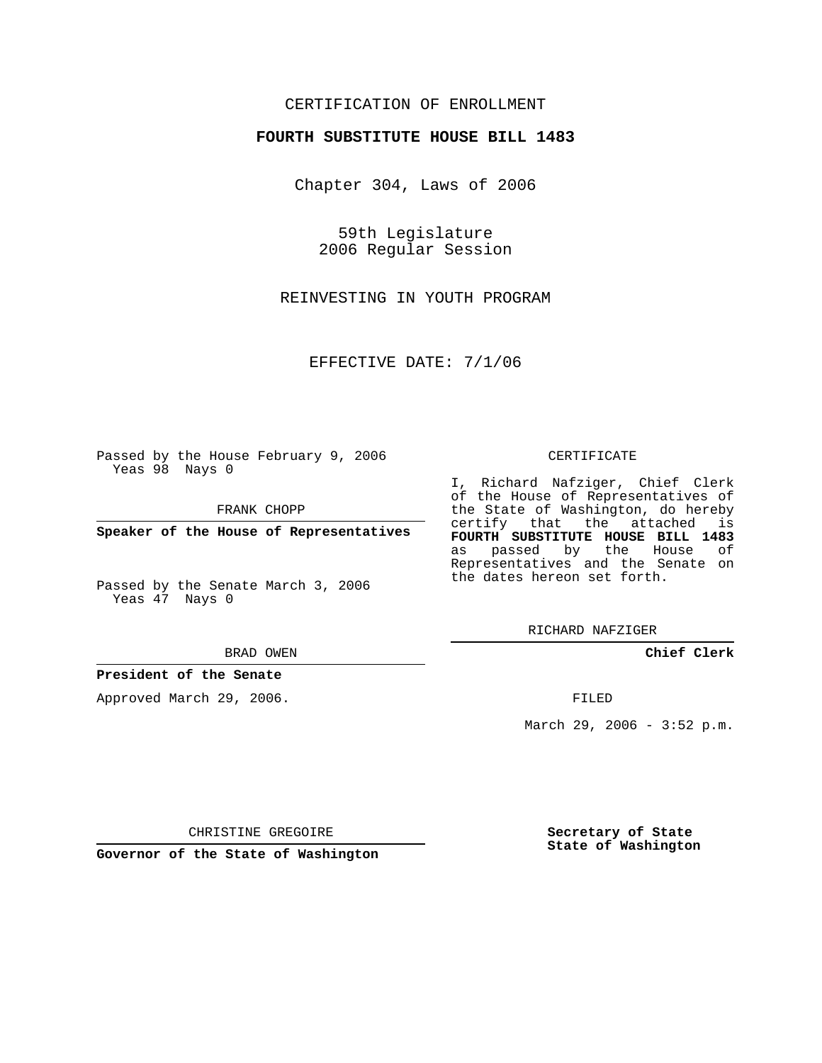## CERTIFICATION OF ENROLLMENT

#### **FOURTH SUBSTITUTE HOUSE BILL 1483**

Chapter 304, Laws of 2006

59th Legislature 2006 Regular Session

REINVESTING IN YOUTH PROGRAM

EFFECTIVE DATE: 7/1/06

Passed by the House February 9, 2006 Yeas 98 Nays 0

FRANK CHOPP

**Speaker of the House of Representatives**

Passed by the Senate March 3, 2006 Yeas 47 Nays 0

#### BRAD OWEN

### **President of the Senate**

Approved March 29, 2006.

#### CERTIFICATE

I, Richard Nafziger, Chief Clerk of the House of Representatives of the State of Washington, do hereby certify that the attached is **FOURTH SUBSTITUTE HOUSE BILL 1483** as passed by the House of Representatives and the Senate on the dates hereon set forth.

RICHARD NAFZIGER

**Chief Clerk**

FILED

March 29, 2006 - 3:52 p.m.

CHRISTINE GREGOIRE

**Governor of the State of Washington**

**Secretary of State State of Washington**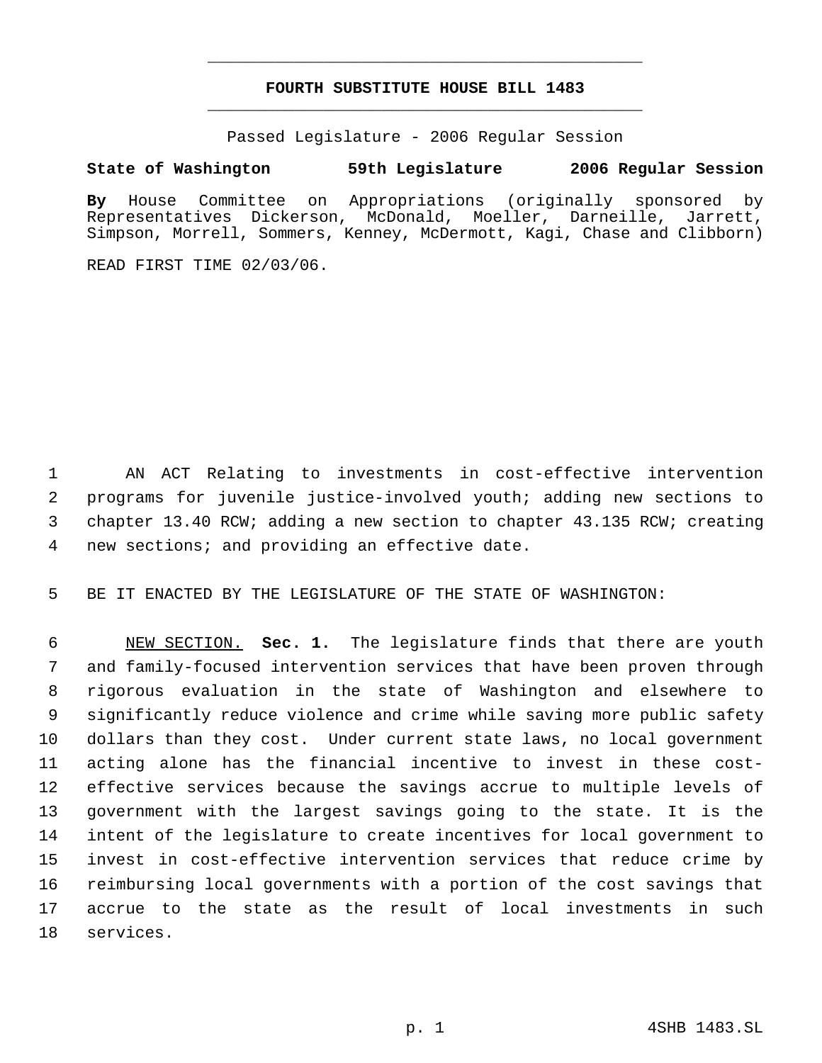# **FOURTH SUBSTITUTE HOUSE BILL 1483** \_\_\_\_\_\_\_\_\_\_\_\_\_\_\_\_\_\_\_\_\_\_\_\_\_\_\_\_\_\_\_\_\_\_\_\_\_\_\_\_\_\_\_\_\_

\_\_\_\_\_\_\_\_\_\_\_\_\_\_\_\_\_\_\_\_\_\_\_\_\_\_\_\_\_\_\_\_\_\_\_\_\_\_\_\_\_\_\_\_\_

Passed Legislature - 2006 Regular Session

## **State of Washington 59th Legislature 2006 Regular Session**

**By** House Committee on Appropriations (originally sponsored by Representatives Dickerson, McDonald, Moeller, Darneille, Jarrett, Simpson, Morrell, Sommers, Kenney, McDermott, Kagi, Chase and Clibborn)

READ FIRST TIME 02/03/06.

 AN ACT Relating to investments in cost-effective intervention programs for juvenile justice-involved youth; adding new sections to chapter 13.40 RCW; adding a new section to chapter 43.135 RCW; creating new sections; and providing an effective date.

BE IT ENACTED BY THE LEGISLATURE OF THE STATE OF WASHINGTON:

 NEW SECTION. **Sec. 1.** The legislature finds that there are youth and family-focused intervention services that have been proven through rigorous evaluation in the state of Washington and elsewhere to significantly reduce violence and crime while saving more public safety dollars than they cost. Under current state laws, no local government acting alone has the financial incentive to invest in these cost- effective services because the savings accrue to multiple levels of government with the largest savings going to the state. It is the intent of the legislature to create incentives for local government to invest in cost-effective intervention services that reduce crime by reimbursing local governments with a portion of the cost savings that accrue to the state as the result of local investments in such services.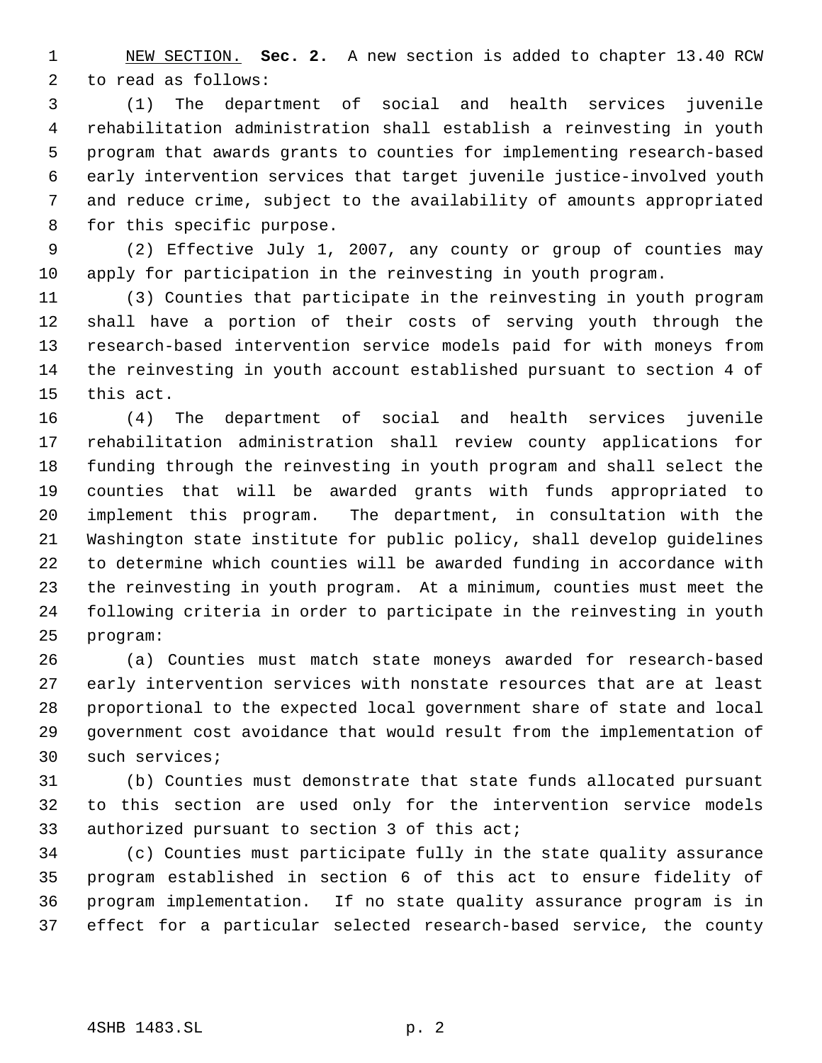NEW SECTION. **Sec. 2.** A new section is added to chapter 13.40 RCW to read as follows:

 (1) The department of social and health services juvenile rehabilitation administration shall establish a reinvesting in youth program that awards grants to counties for implementing research-based early intervention services that target juvenile justice-involved youth and reduce crime, subject to the availability of amounts appropriated for this specific purpose.

 (2) Effective July 1, 2007, any county or group of counties may apply for participation in the reinvesting in youth program.

 (3) Counties that participate in the reinvesting in youth program shall have a portion of their costs of serving youth through the research-based intervention service models paid for with moneys from the reinvesting in youth account established pursuant to section 4 of this act.

 (4) The department of social and health services juvenile rehabilitation administration shall review county applications for funding through the reinvesting in youth program and shall select the counties that will be awarded grants with funds appropriated to implement this program. The department, in consultation with the Washington state institute for public policy, shall develop guidelines to determine which counties will be awarded funding in accordance with the reinvesting in youth program. At a minimum, counties must meet the following criteria in order to participate in the reinvesting in youth program:

 (a) Counties must match state moneys awarded for research-based early intervention services with nonstate resources that are at least proportional to the expected local government share of state and local government cost avoidance that would result from the implementation of such services;

 (b) Counties must demonstrate that state funds allocated pursuant to this section are used only for the intervention service models authorized pursuant to section 3 of this act;

 (c) Counties must participate fully in the state quality assurance program established in section 6 of this act to ensure fidelity of program implementation. If no state quality assurance program is in effect for a particular selected research-based service, the county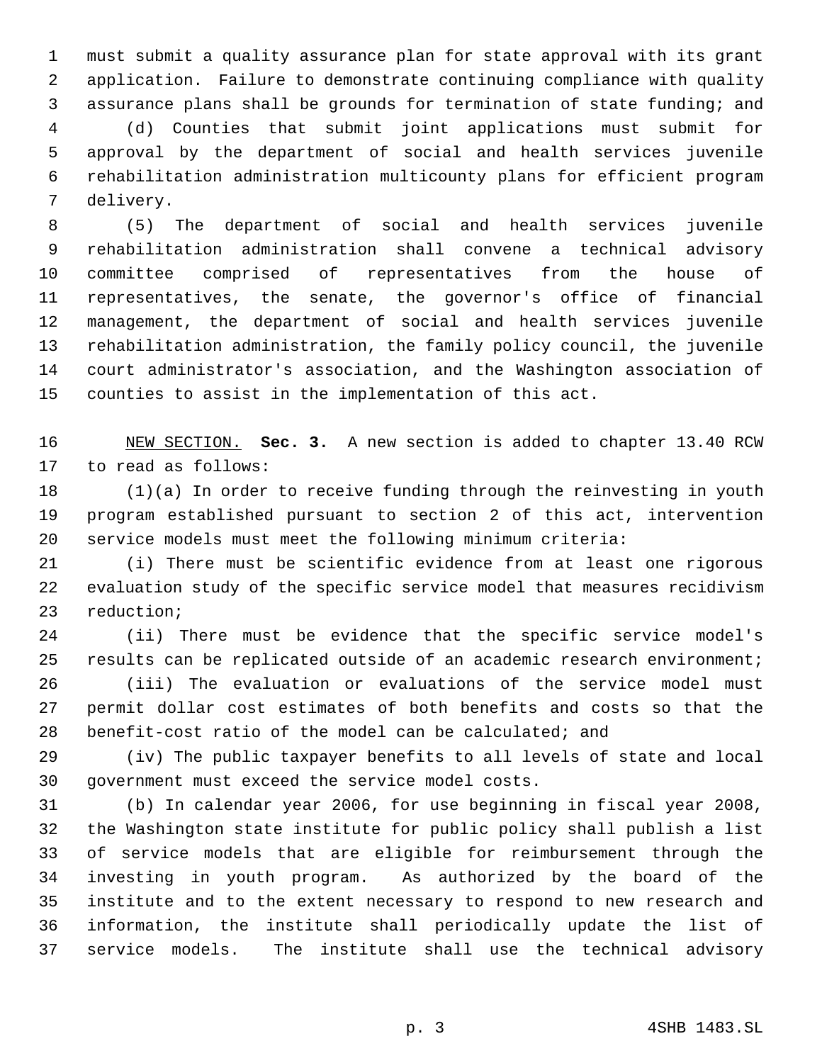must submit a quality assurance plan for state approval with its grant application. Failure to demonstrate continuing compliance with quality assurance plans shall be grounds for termination of state funding; and (d) Counties that submit joint applications must submit for approval by the department of social and health services juvenile rehabilitation administration multicounty plans for efficient program delivery.

 (5) The department of social and health services juvenile rehabilitation administration shall convene a technical advisory committee comprised of representatives from the house of representatives, the senate, the governor's office of financial management, the department of social and health services juvenile rehabilitation administration, the family policy council, the juvenile court administrator's association, and the Washington association of counties to assist in the implementation of this act.

 NEW SECTION. **Sec. 3.** A new section is added to chapter 13.40 RCW to read as follows:

 (1)(a) In order to receive funding through the reinvesting in youth program established pursuant to section 2 of this act, intervention service models must meet the following minimum criteria:

 (i) There must be scientific evidence from at least one rigorous evaluation study of the specific service model that measures recidivism reduction;

 (ii) There must be evidence that the specific service model's results can be replicated outside of an academic research environment; (iii) The evaluation or evaluations of the service model must permit dollar cost estimates of both benefits and costs so that the benefit-cost ratio of the model can be calculated; and

 (iv) The public taxpayer benefits to all levels of state and local government must exceed the service model costs.

 (b) In calendar year 2006, for use beginning in fiscal year 2008, the Washington state institute for public policy shall publish a list of service models that are eligible for reimbursement through the investing in youth program. As authorized by the board of the institute and to the extent necessary to respond to new research and information, the institute shall periodically update the list of service models. The institute shall use the technical advisory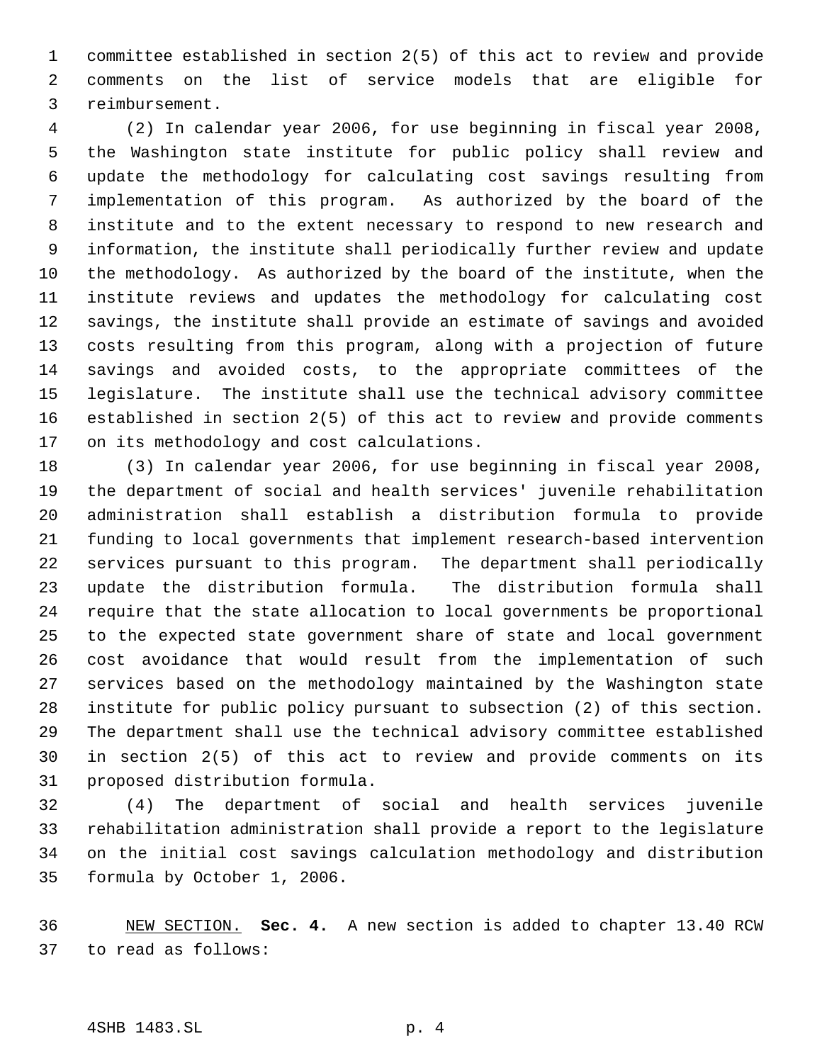committee established in section 2(5) of this act to review and provide comments on the list of service models that are eligible for reimbursement.

 (2) In calendar year 2006, for use beginning in fiscal year 2008, the Washington state institute for public policy shall review and update the methodology for calculating cost savings resulting from implementation of this program. As authorized by the board of the institute and to the extent necessary to respond to new research and information, the institute shall periodically further review and update the methodology. As authorized by the board of the institute, when the institute reviews and updates the methodology for calculating cost savings, the institute shall provide an estimate of savings and avoided costs resulting from this program, along with a projection of future savings and avoided costs, to the appropriate committees of the legislature. The institute shall use the technical advisory committee established in section 2(5) of this act to review and provide comments on its methodology and cost calculations.

 (3) In calendar year 2006, for use beginning in fiscal year 2008, the department of social and health services' juvenile rehabilitation administration shall establish a distribution formula to provide funding to local governments that implement research-based intervention services pursuant to this program. The department shall periodically update the distribution formula. The distribution formula shall require that the state allocation to local governments be proportional to the expected state government share of state and local government cost avoidance that would result from the implementation of such services based on the methodology maintained by the Washington state institute for public policy pursuant to subsection (2) of this section. The department shall use the technical advisory committee established in section 2(5) of this act to review and provide comments on its proposed distribution formula.

 (4) The department of social and health services juvenile rehabilitation administration shall provide a report to the legislature on the initial cost savings calculation methodology and distribution formula by October 1, 2006.

 NEW SECTION. **Sec. 4.** A new section is added to chapter 13.40 RCW to read as follows: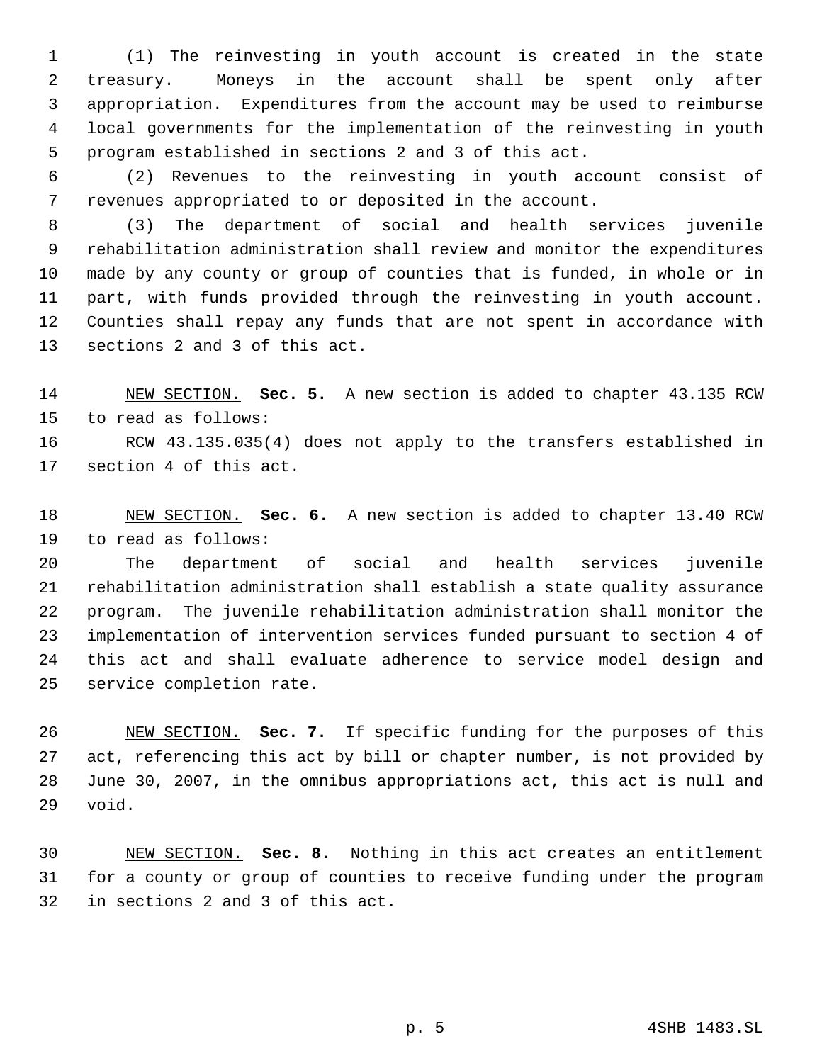(1) The reinvesting in youth account is created in the state treasury. Moneys in the account shall be spent only after appropriation. Expenditures from the account may be used to reimburse local governments for the implementation of the reinvesting in youth program established in sections 2 and 3 of this act.

 (2) Revenues to the reinvesting in youth account consist of revenues appropriated to or deposited in the account.

 (3) The department of social and health services juvenile rehabilitation administration shall review and monitor the expenditures made by any county or group of counties that is funded, in whole or in part, with funds provided through the reinvesting in youth account. Counties shall repay any funds that are not spent in accordance with sections 2 and 3 of this act.

 NEW SECTION. **Sec. 5.** A new section is added to chapter 43.135 RCW to read as follows: RCW 43.135.035(4) does not apply to the transfers established in

section 4 of this act.

 NEW SECTION. **Sec. 6.** A new section is added to chapter 13.40 RCW to read as follows:

 The department of social and health services juvenile rehabilitation administration shall establish a state quality assurance program. The juvenile rehabilitation administration shall monitor the implementation of intervention services funded pursuant to section 4 of this act and shall evaluate adherence to service model design and service completion rate.

 NEW SECTION. **Sec. 7.** If specific funding for the purposes of this act, referencing this act by bill or chapter number, is not provided by June 30, 2007, in the omnibus appropriations act, this act is null and void.

 NEW SECTION. **Sec. 8.** Nothing in this act creates an entitlement for a county or group of counties to receive funding under the program in sections 2 and 3 of this act.